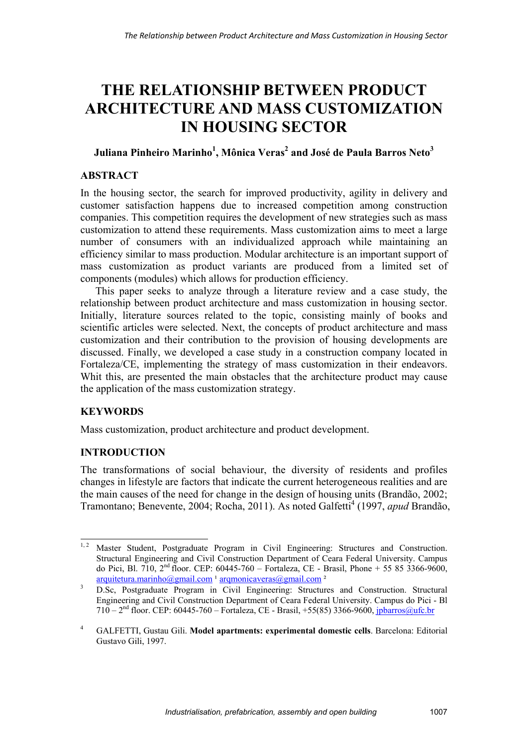# **THE RELATIONSHIP BETWEEN PRODUCT ARCHITECTURE AND MASS CUSTOMIZATION IN HOUSING SECTOR**

# **Juliana Pinheiro Marinho1 , Mônica Veras<sup>2</sup> and José de Paula Barros Neto3**

# **ABSTRACT**

In the housing sector, the search for improved productivity, agility in delivery and customer satisfaction happens due to increased competition among construction companies. This competition requires the development of new strategies such as mass customization to attend these requirements. Mass customization aims to meet a large number of consumers with an individualized approach while maintaining an efficiency similar to mass production. Modular architecture is an important support of mass customization as product variants are produced from a limited set of components (modules) which allows for production efficiency.

This paper seeks to analyze through a literature review and a case study, the relationship between product architecture and mass customization in housing sector. Initially, literature sources related to the topic, consisting mainly of books and scientific articles were selected. Next, the concepts of product architecture and mass customization and their contribution to the provision of housing developments are discussed. Finally, we developed a case study in a construction company located in Fortaleza/CE, implementing the strategy of mass customization in their endeavors. Whit this, are presented the main obstacles that the architecture product may cause the application of the mass customization strategy.

# **KEYWORDS**

Mass customization, product architecture and product development.

# **INTRODUCTION**

The transformations of social behaviour, the diversity of residents and profiles changes in lifestyle are factors that indicate the current heterogeneous realities and are the main causes of the need for change in the design of housing units (Brandão, 2002; Tramontano; Benevente, 2004; Rocha, 2011). As noted Galfetti<sup>4</sup> (1997, apud Brandão,

 $1, 2$ Master Student, Postgraduate Program in Civil Engineering: Structures and Construction. Structural Engineering and Civil Construction Department of Ceara Federal University. Campus do Pici, Bl. 710, 2nd floor. CEP: 60445-760 – Fortaleza, CE - Brasil, Phone + 55 85 3366-9600,  $arquitectura.marinho@gmail.com<sup>1</sup> arqmonicaveras@gmail.com<sup>2</sup>$ 

<sup>3</sup> D.Sc, Postgraduate Program in Civil Engineering: Structures and Construction. Structural Engineering and Civil Construction Department of Ceara Federal University. Campus do Pici - Bl  $710 - 2<sup>nd</sup>$  floor. CEP: 60445-760 – Fortaleza, CE - Brasil, +55(85) 3366-9600, jpbarros@ufc.br

<sup>4</sup> GALFETTI, Gustau Gili. **Model apartments: experimental domestic cells**. Barcelona: Editorial Gustavo Gili, 1997.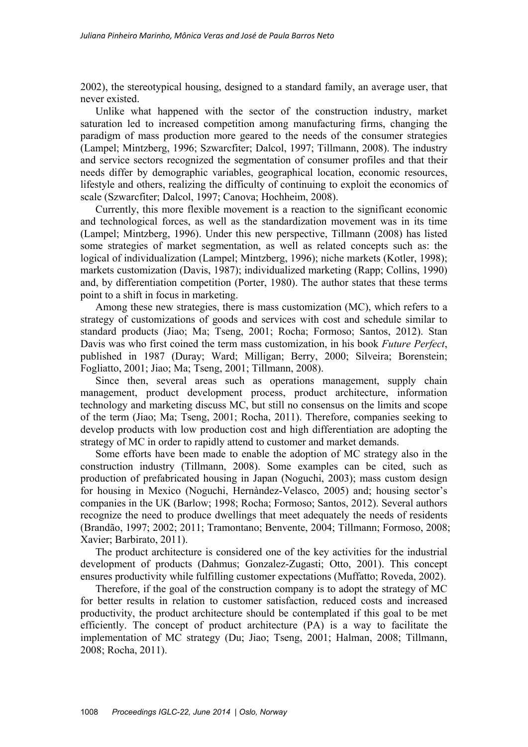2002), the stereotypical housing, designed to a standard family, an average user, that never existed.

Unlike what happened with the sector of the construction industry, market saturation led to increased competition among manufacturing firms, changing the paradigm of mass production more geared to the needs of the consumer strategies (Lampel; Mintzberg, 1996; Szwarcfiter; Dalcol, 1997; Tillmann, 2008). The industry and service sectors recognized the segmentation of consumer profiles and that their needs differ by demographic variables, geographical location, economic resources, lifestyle and others, realizing the difficulty of continuing to exploit the economics of scale (Szwarcfiter; Dalcol, 1997; Canova; Hochheim, 2008).

Currently, this more flexible movement is a reaction to the significant economic and technological forces, as well as the standardization movement was in its time (Lampel; Mintzberg, 1996). Under this new perspective, Tillmann (2008) has listed some strategies of market segmentation, as well as related concepts such as: the logical of individualization (Lampel; Mintzberg, 1996); niche markets (Kotler, 1998); markets customization (Davis, 1987); individualized marketing (Rapp; Collins, 1990) and, by differentiation competition (Porter, 1980). The author states that these terms point to a shift in focus in marketing.

Among these new strategies, there is mass customization (MC), which refers to a strategy of customizations of goods and services with cost and schedule similar to standard products (Jiao; Ma; Tseng, 2001; Rocha; Formoso; Santos, 2012). Stan Davis was who first coined the term mass customization, in his book *Future Perfect*, published in 1987 (Duray; Ward; Milligan; Berry, 2000; Silveira; Borenstein; Fogliatto, 2001; Jiao; Ma; Tseng, 2001; Tillmann, 2008).

Since then, several areas such as operations management, supply chain management, product development process, product architecture, information technology and marketing discuss MC, but still no consensus on the limits and scope of the term (Jiao; Ma; Tseng, 2001; Rocha, 2011). Therefore, companies seeking to develop products with low production cost and high differentiation are adopting the strategy of MC in order to rapidly attend to customer and market demands.

Some efforts have been made to enable the adoption of MC strategy also in the construction industry (Tillmann, 2008). Some examples can be cited, such as production of prefabricated housing in Japan (Noguchi, 2003); mass custom design for housing in Mexico (Noguchi, Hernàndez-Velasco, 2005) and; housing sector's companies in the UK (Barlow; 1998; Rocha; Formoso; Santos, 2012). Several authors recognize the need to produce dwellings that meet adequately the needs of residents (Brandão, 1997; 2002; 2011; Tramontano; Benvente, 2004; Tillmann; Formoso, 2008; Xavier; Barbirato, 2011).

The product architecture is considered one of the key activities for the industrial development of products (Dahmus; Gonzalez-Zugasti; Otto, 2001). This concept ensures productivity while fulfilling customer expectations (Muffatto; Roveda, 2002).

Therefore, if the goal of the construction company is to adopt the strategy of MC for better results in relation to customer satisfaction, reduced costs and increased productivity, the product architecture should be contemplated if this goal to be met efficiently. The concept of product architecture (PA) is a way to facilitate the implementation of MC strategy (Du; Jiao; Tseng, 2001; Halman, 2008; Tillmann, 2008; Rocha, 2011).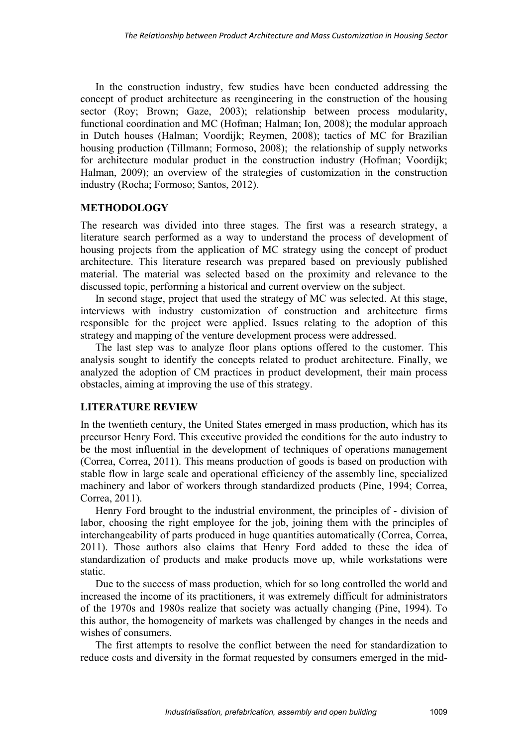In the construction industry, few studies have been conducted addressing the concept of product architecture as reengineering in the construction of the housing sector (Roy; Brown; Gaze, 2003); relationship between process modularity, functional coordination and MC (Hofman; Halman; Ion, 2008); the modular approach in Dutch houses (Halman; Voordijk; Reymen, 2008); tactics of MC for Brazilian housing production (Tillmann; Formoso, 2008); the relationship of supply networks for architecture modular product in the construction industry (Hofman; Voordijk; Halman, 2009); an overview of the strategies of customization in the construction industry (Rocha; Formoso; Santos, 2012).

# **METHODOLOGY**

The research was divided into three stages. The first was a research strategy, a literature search performed as a way to understand the process of development of housing projects from the application of MC strategy using the concept of product architecture. This literature research was prepared based on previously published material. The material was selected based on the proximity and relevance to the discussed topic, performing a historical and current overview on the subject.

In second stage, project that used the strategy of MC was selected. At this stage, interviews with industry customization of construction and architecture firms responsible for the project were applied. Issues relating to the adoption of this strategy and mapping of the venture development process were addressed.

The last step was to analyze floor plans options offered to the customer. This analysis sought to identify the concepts related to product architecture. Finally, we analyzed the adoption of CM practices in product development, their main process obstacles, aiming at improving the use of this strategy.

# **LITERATURE REVIEW**

In the twentieth century, the United States emerged in mass production, which has its precursor Henry Ford. This executive provided the conditions for the auto industry to be the most influential in the development of techniques of operations management (Correa, Correa, 2011). This means production of goods is based on production with stable flow in large scale and operational efficiency of the assembly line, specialized machinery and labor of workers through standardized products (Pine, 1994; Correa, Correa, 2011).

Henry Ford brought to the industrial environment, the principles of - division of labor, choosing the right employee for the job, joining them with the principles of interchangeability of parts produced in huge quantities automatically (Correa, Correa, 2011). Those authors also claims that Henry Ford added to these the idea of standardization of products and make products move up, while workstations were static.

Due to the success of mass production, which for so long controlled the world and increased the income of its practitioners, it was extremely difficult for administrators of the 1970s and 1980s realize that society was actually changing (Pine, 1994). To this author, the homogeneity of markets was challenged by changes in the needs and wishes of consumers.

The first attempts to resolve the conflict between the need for standardization to reduce costs and diversity in the format requested by consumers emerged in the mid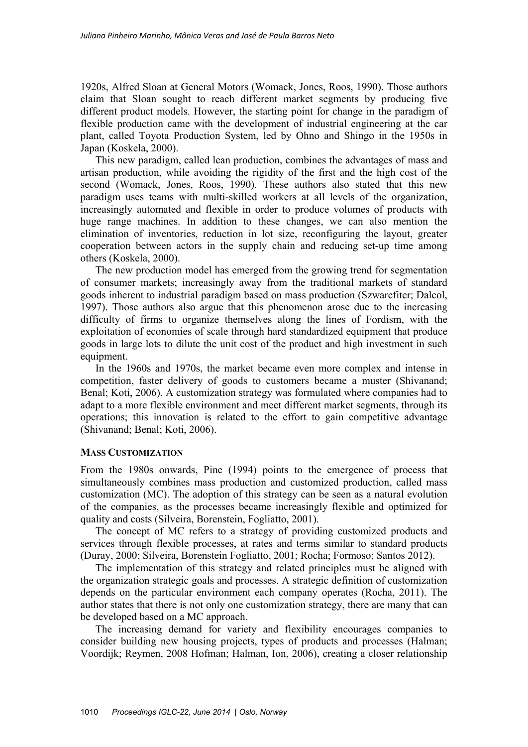1920s, Alfred Sloan at General Motors (Womack, Jones, Roos, 1990). Those authors claim that Sloan sought to reach different market segments by producing five different product models. However, the starting point for change in the paradigm of flexible production came with the development of industrial engineering at the car plant, called Toyota Production System, led by Ohno and Shingo in the 1950s in Japan (Koskela, 2000).

This new paradigm, called lean production, combines the advantages of mass and artisan production, while avoiding the rigidity of the first and the high cost of the second (Womack, Jones, Roos, 1990). These authors also stated that this new paradigm uses teams with multi-skilled workers at all levels of the organization, increasingly automated and flexible in order to produce volumes of products with huge range machines. In addition to these changes, we can also mention the elimination of inventories, reduction in lot size, reconfiguring the layout, greater cooperation between actors in the supply chain and reducing set-up time among others (Koskela, 2000).

The new production model has emerged from the growing trend for segmentation of consumer markets; increasingly away from the traditional markets of standard goods inherent to industrial paradigm based on mass production (Szwarcfiter; Dalcol, 1997). Those authors also argue that this phenomenon arose due to the increasing difficulty of firms to organize themselves along the lines of Fordism, with the exploitation of economies of scale through hard standardized equipment that produce goods in large lots to dilute the unit cost of the product and high investment in such equipment.

In the 1960s and 1970s, the market became even more complex and intense in competition, faster delivery of goods to customers became a muster (Shivanand; Benal; Koti, 2006). A customization strategy was formulated where companies had to adapt to a more flexible environment and meet different market segments, through its operations; this innovation is related to the effort to gain competitive advantage (Shivanand; Benal; Koti, 2006).

#### **MASS CUSTOMIZATION**

From the 1980s onwards, Pine (1994) points to the emergence of process that simultaneously combines mass production and customized production, called mass customization (MC). The adoption of this strategy can be seen as a natural evolution of the companies, as the processes became increasingly flexible and optimized for quality and costs (Silveira, Borenstein, Fogliatto, 2001).

The concept of MC refers to a strategy of providing customized products and services through flexible processes, at rates and terms similar to standard products (Duray, 2000; Silveira, Borenstein Fogliatto, 2001; Rocha; Formoso; Santos 2012).

The implementation of this strategy and related principles must be aligned with the organization strategic goals and processes. A strategic definition of customization depends on the particular environment each company operates (Rocha, 2011). The author states that there is not only one customization strategy, there are many that can be developed based on a MC approach.

The increasing demand for variety and flexibility encourages companies to consider building new housing projects, types of products and processes (Halman; Voordijk; Reymen, 2008 Hofman; Halman, Ion, 2006), creating a closer relationship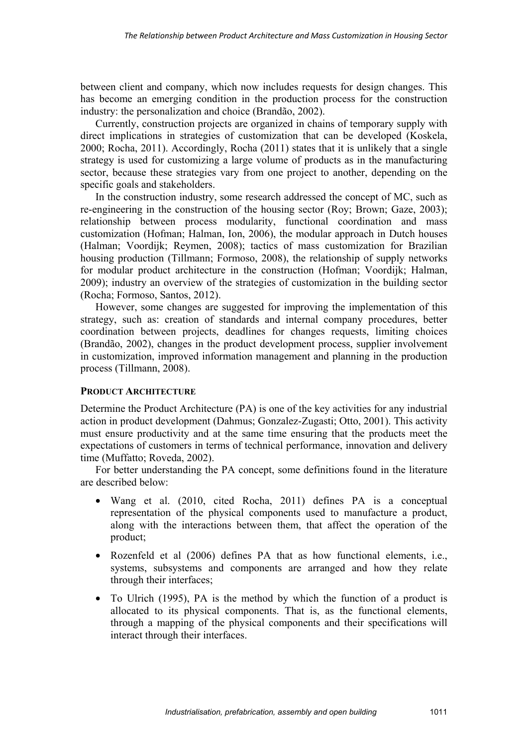between client and company, which now includes requests for design changes. This has become an emerging condition in the production process for the construction industry: the personalization and choice (Brandão, 2002).

Currently, construction projects are organized in chains of temporary supply with direct implications in strategies of customization that can be developed (Koskela, 2000; Rocha, 2011). Accordingly, Rocha (2011) states that it is unlikely that a single strategy is used for customizing a large volume of products as in the manufacturing sector, because these strategies vary from one project to another, depending on the specific goals and stakeholders.

In the construction industry, some research addressed the concept of MC, such as re-engineering in the construction of the housing sector (Roy; Brown; Gaze, 2003); relationship between process modularity, functional coordination and mass customization (Hofman; Halman, Ion, 2006), the modular approach in Dutch houses (Halman; Voordijk; Reymen, 2008); tactics of mass customization for Brazilian housing production (Tillmann; Formoso, 2008), the relationship of supply networks for modular product architecture in the construction (Hofman; Voordijk; Halman, 2009); industry an overview of the strategies of customization in the building sector (Rocha; Formoso, Santos, 2012).

However, some changes are suggested for improving the implementation of this strategy, such as: creation of standards and internal company procedures, better coordination between projects, deadlines for changes requests, limiting choices (Brandão, 2002), changes in the product development process, supplier involvement in customization, improved information management and planning in the production process (Tillmann, 2008).

#### **PRODUCT ARCHITECTURE**

Determine the Product Architecture (PA) is one of the key activities for any industrial action in product development (Dahmus; Gonzalez-Zugasti; Otto, 2001). This activity must ensure productivity and at the same time ensuring that the products meet the expectations of customers in terms of technical performance, innovation and delivery time (Muffatto; Roveda, 2002).

For better understanding the PA concept, some definitions found in the literature are described below:

- Wang et al. (2010, cited Rocha, 2011) defines PA is a conceptual representation of the physical components used to manufacture a product, along with the interactions between them, that affect the operation of the product;
- Rozenfeld et al (2006) defines PA that as how functional elements, i.e., systems, subsystems and components are arranged and how they relate through their interfaces;
- To Ulrich (1995), PA is the method by which the function of a product is allocated to its physical components. That is, as the functional elements, through a mapping of the physical components and their specifications will interact through their interfaces.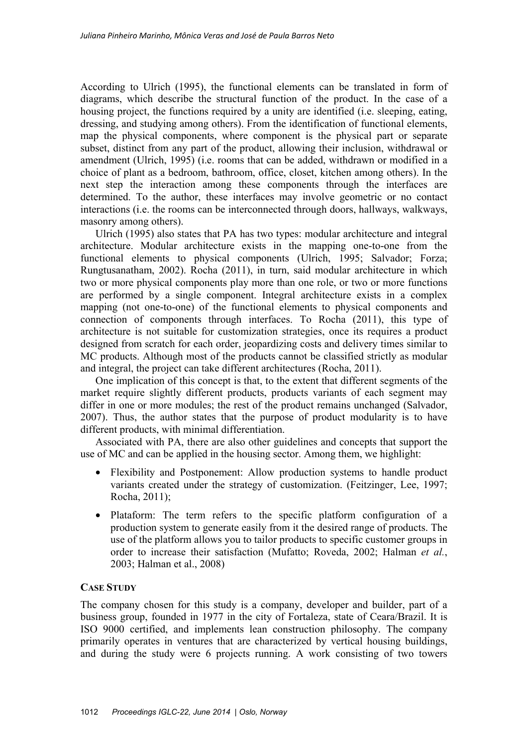According to Ulrich (1995), the functional elements can be translated in form of diagrams, which describe the structural function of the product. In the case of a housing project, the functions required by a unity are identified (i.e. sleeping, eating, dressing, and studying among others). From the identification of functional elements, map the physical components, where component is the physical part or separate subset, distinct from any part of the product, allowing their inclusion, withdrawal or amendment (Ulrich, 1995) (i.e. rooms that can be added, withdrawn or modified in a choice of plant as a bedroom, bathroom, office, closet, kitchen among others). In the next step the interaction among these components through the interfaces are determined. To the author, these interfaces may involve geometric or no contact interactions (i.e. the rooms can be interconnected through doors, hallways, walkways, masonry among others).

Ulrich (1995) also states that PA has two types: modular architecture and integral architecture. Modular architecture exists in the mapping one-to-one from the functional elements to physical components (Ulrich, 1995; Salvador; Forza; Rungtusanatham, 2002). Rocha (2011), in turn, said modular architecture in which two or more physical components play more than one role, or two or more functions are performed by a single component. Integral architecture exists in a complex mapping (not one-to-one) of the functional elements to physical components and connection of components through interfaces. To Rocha (2011), this type of architecture is not suitable for customization strategies, once its requires a product designed from scratch for each order, jeopardizing costs and delivery times similar to MC products. Although most of the products cannot be classified strictly as modular and integral, the project can take different architectures (Rocha, 2011).

One implication of this concept is that, to the extent that different segments of the market require slightly different products, products variants of each segment may differ in one or more modules; the rest of the product remains unchanged (Salvador, 2007). Thus, the author states that the purpose of product modularity is to have different products, with minimal differentiation.

Associated with PA, there are also other guidelines and concepts that support the use of MC and can be applied in the housing sector. Among them, we highlight:

- Flexibility and Postponement: Allow production systems to handle product variants created under the strategy of customization. (Feitzinger, Lee, 1997; Rocha, 2011);
- Plataform: The term refers to the specific platform configuration of a production system to generate easily from it the desired range of products. The use of the platform allows you to tailor products to specific customer groups in order to increase their satisfaction (Mufatto; Roveda, 2002; Halman *et al.*, 2003; Halman et al., 2008)

#### **CASE STUDY**

The company chosen for this study is a company, developer and builder, part of a business group, founded in 1977 in the city of Fortaleza, state of Ceara/Brazil. It is ISO 9000 certified, and implements lean construction philosophy. The company primarily operates in ventures that are characterized by vertical housing buildings, and during the study were 6 projects running. A work consisting of two towers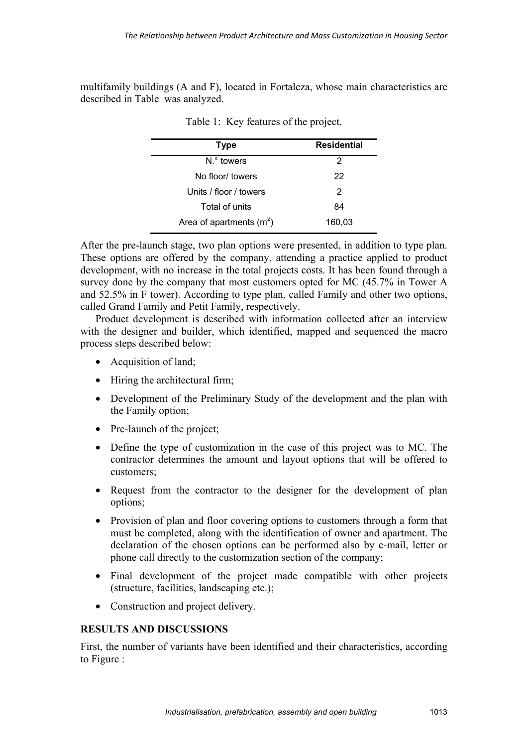multifamily buildings (A and F), located in Fortaleza, whose main characteristics are described in Table was analyzed.

| <b>Type</b>                | <b>Residential</b> |
|----------------------------|--------------------|
| N. <sup>o</sup> towers     | 2                  |
| No floor/ towers           | 22                 |
| Units / floor / towers     | 2                  |
| Total of units             | 84                 |
| Area of apartments $(m^2)$ | 160,03             |

| Table 1: Key features of the project. |  |
|---------------------------------------|--|
|                                       |  |

After the pre-launch stage, two plan options were presented, in addition to type plan. These options are offered by the company, attending a practice applied to product development, with no increase in the total projects costs. It has been found through a survey done by the company that most customers opted for MC (45.7% in Tower A and 52.5% in F tower). According to type plan, called Family and other two options, called Grand Family and Petit Family, respectively.

Product development is described with information collected after an interview with the designer and builder, which identified, mapped and sequenced the macro process steps described below:

- Acquisition of land;
- Hiring the architectural firm;
- Development of the Preliminary Study of the development and the plan with the Family option;
- Pre-launch of the project;
- Define the type of customization in the case of this project was to MC. The contractor determines the amount and layout options that will be offered to customers;
- Request from the contractor to the designer for the development of plan options;
- Provision of plan and floor covering options to customers through a form that must be completed, along with the identification of owner and apartment. The declaration of the chosen options can be performed also by e-mail, letter or phone call directly to the customization section of the company;
- Final development of the project made compatible with other projects (structure, facilities, landscaping etc.);
- Construction and project delivery.

# **RESULTS AND DISCUSSIONS**

First, the number of variants have been identified and their characteristics, according to Figure :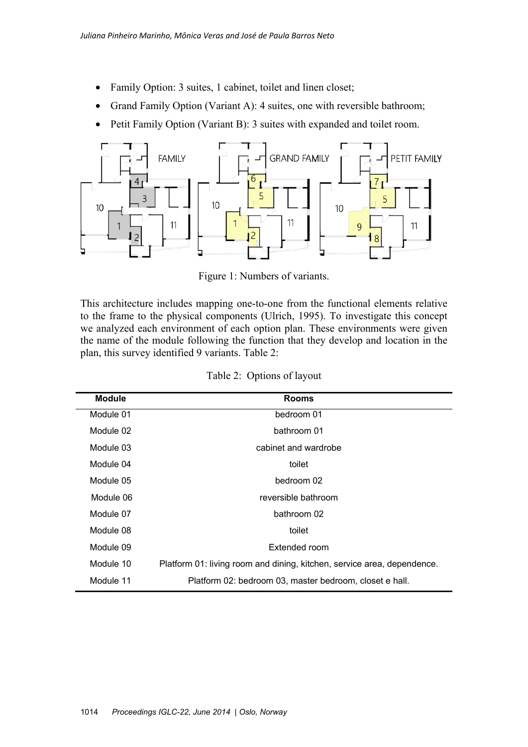- Family Option: 3 suites, 1 cabinet, toilet and linen closet;
- Grand Family Option (Variant A): 4 suites, one with reversible bathroom;
- Petit Family Option (Variant B): 3 suites with expanded and toilet room.



Figure 1: Numbers of variants.

This architecture includes mapping one-to-one from the functional elements relative to the frame to the physical components (Ulrich, 1995). To investigate this concept we analyzed each environment of each option plan. These environments were given the name of the module following the function that they develop and location in the plan, this survey identified 9 variants. Table 2:

| <b>Module</b> | <b>Rooms</b>                                                            |
|---------------|-------------------------------------------------------------------------|
| Module 01     | bedroom 01                                                              |
| Module 02     | bathroom 01                                                             |
| Module 03     | cabinet and wardrobe                                                    |
| Module 04     | toilet                                                                  |
| Module 05     | bedroom 02                                                              |
| Module 06     | reversible bathroom                                                     |
| Module 07     | bathroom 02                                                             |
| Module 08     | toilet                                                                  |
| Module 09     | Extended room                                                           |
| Module 10     | Platform 01: living room and dining, kitchen, service area, dependence. |
| Module 11     | Platform 02: bedroom 03, master bedroom, closet e hall.                 |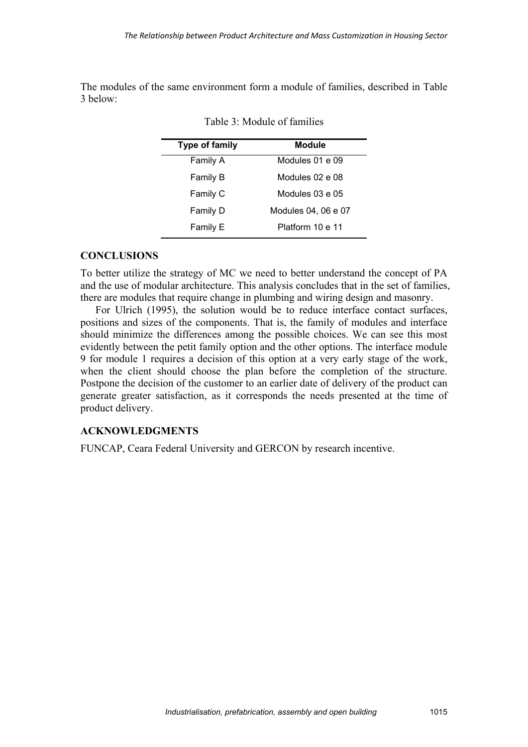The modules of the same environment form a module of families, described in Table 3 below:

| <b>Type of family</b> | <b>Module</b>       |
|-----------------------|---------------------|
| Family A              | Modules 01 e 09     |
| Family B              | Modules 02 e 08     |
| Family C              | Modules 03 e 05     |
| Family D              | Modules 04, 06 e 07 |
| <b>Family E</b>       | Platform 10 e 11    |

Table 3: Module of families

# **CONCLUSIONS**

To better utilize the strategy of MC we need to better understand the concept of PA and the use of modular architecture. This analysis concludes that in the set of families, there are modules that require change in plumbing and wiring design and masonry.

For Ulrich (1995), the solution would be to reduce interface contact surfaces, positions and sizes of the components. That is, the family of modules and interface should minimize the differences among the possible choices. We can see this most evidently between the petit family option and the other options. The interface module 9 for module 1 requires a decision of this option at a very early stage of the work, when the client should choose the plan before the completion of the structure. Postpone the decision of the customer to an earlier date of delivery of the product can generate greater satisfaction, as it corresponds the needs presented at the time of product delivery.

# **ACKNOWLEDGMENTS**

FUNCAP, Ceara Federal University and GERCON by research incentive.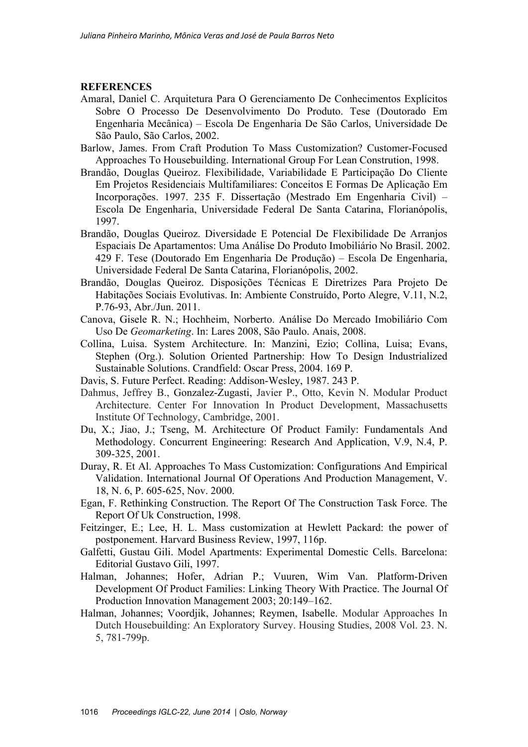# **REFERENCES**

- Amaral, Daniel C. Arquitetura Para O Gerenciamento De Conhecimentos Explícitos Sobre O Processo De Desenvolvimento Do Produto. Tese (Doutorado Em Engenharia Mecânica) – Escola De Engenharia De São Carlos, Universidade De São Paulo, São Carlos, 2002.
- Barlow, James. From Craft Prodution To Mass Customization? Customer-Focused Approaches To Housebuilding. International Group For Lean Constrution, 1998.
- Brandão, Douglas Queiroz. Flexibilidade, Variabilidade E Participação Do Cliente Em Projetos Residenciais Multifamiliares: Conceitos E Formas De Aplicação Em Incorporações. 1997. 235 F. Dissertação (Mestrado Em Engenharia Civil) – Escola De Engenharia, Universidade Federal De Santa Catarina, Florianópolis, 1997.
- Brandão, Douglas Queiroz. Diversidade E Potencial De Flexibilidade De Arranjos Espaciais De Apartamentos: Uma Análise Do Produto Imobiliário No Brasil. 2002. 429 F. Tese (Doutorado Em Engenharia De Produção) – Escola De Engenharia, Universidade Federal De Santa Catarina, Florianópolis, 2002.
- Brandão, Douglas Queiroz. Disposições Técnicas E Diretrizes Para Projeto De Habitações Sociais Evolutivas. In: Ambiente Construído, Porto Alegre, V.11, N.2, P.76-93, Abr./Jun. 2011.
- Canova, Gisele R. N.; Hochheim, Norberto. Análise Do Mercado Imobiliário Com Uso De *Geomarketing*. In: Lares 2008, São Paulo. Anais, 2008.
- Collina, Luisa. System Architecture. In: Manzini, Ezio; Collina, Luisa; Evans, Stephen (Org.). Solution Oriented Partnership: How To Design Industrialized Sustainable Solutions. Crandfield: Oscar Press, 2004. 169 P.
- Davis, S. Future Perfect. Reading: Addison-Wesley, 1987. 243 P.
- Dahmus, Jeffrey B., Gonzalez-Zugasti, Javier P., Otto, Kevin N. Modular Product Architecture. Center For Innovation In Product Development, Massachusetts Institute Of Technology, Cambridge, 2001.
- Du, X.; Jiao, J.; Tseng, M. Architecture Of Product Family: Fundamentals And Methodology. Concurrent Engineering: Research And Application, V.9, N.4, P. 309-325, 2001.
- Duray, R. Et Al. Approaches To Mass Customization: Configurations And Empirical Validation. International Journal Of Operations And Production Management, V. 18, N. 6, P. 605-625, Nov. 2000.
- Egan, F. Rethinking Construction. The Report Of The Construction Task Force. The Report Of Uk Construction, 1998.
- Feitzinger, E.; Lee, H. L. Mass customization at Hewlett Packard: the power of postponement. Harvard Business Review, 1997, 116p.
- Galfetti, Gustau Gili. Model Apartments: Experimental Domestic Cells. Barcelona: Editorial Gustavo Gili, 1997.
- Halman, Johannes; Hofer, Adrian P.; Vuuren, Wim Van. Platform-Driven Development Of Product Families: Linking Theory With Practice. The Journal Of Production Innovation Management 2003; 20:149–162.
- Halman, Johannes; Voordjik, Johannes; Reymen, Isabelle. Modular Approaches In Dutch Housebuilding: An Exploratory Survey. Housing Studies, 2008 Vol. 23. N. 5, 781-799p.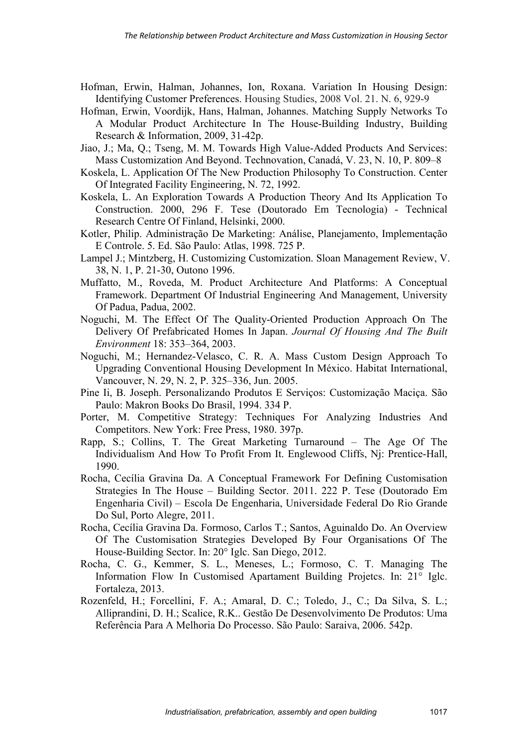- Hofman, Erwin, Halman, Johannes, Ion, Roxana. Variation In Housing Design: Identifying Customer Preferences. Housing Studies, 2008 Vol. 21. N. 6, 929-9
- Hofman, Erwin, Voordijk, Hans, Halman, Johannes. Matching Supply Networks To A Modular Product Architecture In The House-Building Industry, Building Research & Information, 2009, 31-42p.
- Jiao, J.; Ma, Q.; Tseng, M. M. Towards High Value-Added Products And Services: Mass Customization And Beyond. Technovation, Canadá, V. 23, N. 10, P. 809–8
- Koskela, L. Application Of The New Production Philosophy To Construction. Center Of Integrated Facility Engineering, N. 72, 1992.
- Koskela, L. An Exploration Towards A Production Theory And Its Application To Construction. 2000, 296 F. Tese (Doutorado Em Tecnologia) - Technical Research Centre Of Finland, Helsinki, 2000.
- Kotler, Philip. Administração De Marketing: Análise, Planejamento, Implementação E Controle. 5. Ed. São Paulo: Atlas, 1998. 725 P.
- Lampel J.; Mintzberg, H. Customizing Customization. Sloan Management Review, V. 38, N. 1, P. 21-30, Outono 1996.
- Muffatto, M., Roveda, M. Product Architecture And Platforms: A Conceptual Framework. Department Of Industrial Engineering And Management, University Of Padua, Padua, 2002.
- Noguchi, M. The Effect Of The Quality-Oriented Production Approach On The Delivery Of Prefabricated Homes In Japan. *Journal Of Housing And The Built Environment* 18: 353–364, 2003.
- Noguchi, M.; Hernandez-Velasco, C. R. A. Mass Custom Design Approach To Upgrading Conventional Housing Development In México. Habitat International, Vancouver, N. 29, N. 2, P. 325–336, Jun. 2005.
- Pine Ii, B. Joseph. Personalizando Produtos E Serviços: Customização Maciça. São Paulo: Makron Books Do Brasil, 1994. 334 P.
- Porter, M. Competitive Strategy: Techniques For Analyzing Industries And Competitors. New York: Free Press, 1980. 397p.
- Rapp, S.; Collins, T. The Great Marketing Turnaround The Age Of The Individualism And How To Profit From It. Englewood Cliffs, Nj: Prentice-Hall, 1990.
- Rocha, Cecília Gravina Da. A Conceptual Framework For Defining Customisation Strategies In The House – Building Sector. 2011. 222 P. Tese (Doutorado Em Engenharia Civil) – Escola De Engenharia, Universidade Federal Do Rio Grande Do Sul, Porto Alegre, 2011.
- Rocha, Cecília Gravina Da. Formoso, Carlos T.; Santos, Aguinaldo Do. An Overview Of The Customisation Strategies Developed By Four Organisations Of The House-Building Sector. In: 20° Iglc. San Diego, 2012.
- Rocha, C. G., Kemmer, S. L., Meneses, L.; Formoso, C. T. Managing The Information Flow In Customised Apartament Building Projetcs. In: 21° Iglc. Fortaleza, 2013.
- Rozenfeld, H.; Forcellini, F. A.; Amaral, D. C.; Toledo, J., C.; Da Silva, S. L.; Alliprandini, D. H.; Scalice, R.K.. Gestão De Desenvolvimento De Produtos: Uma Referência Para A Melhoria Do Processo. São Paulo: Saraiva, 2006. 542p.